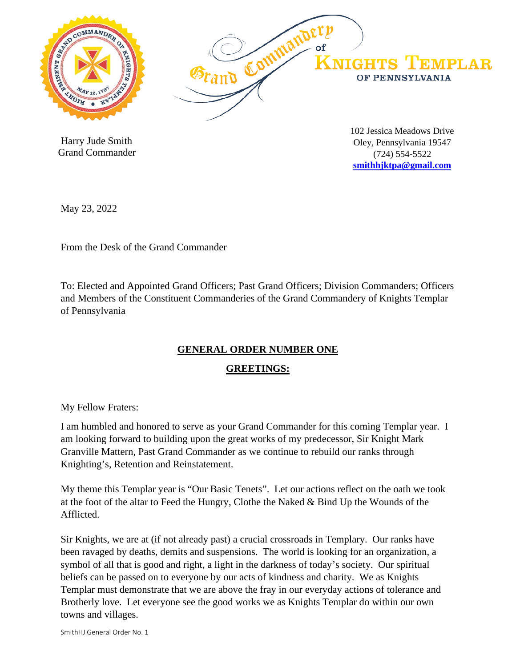

 Harry Jude Smith Grand Commander 102 Jessica Meadows Drive Oley, Pennsylvania 19547 (724) 554-5522 **[smithhjktpa@gmail.com](mailto:smithhjktpa@gmail.com)**

May 23, 2022

From the Desk of the Grand Commander

To: Elected and Appointed Grand Officers; Past Grand Officers; Division Commanders; Officers and Members of the Constituent Commanderies of the Grand Commandery of Knights Templar of Pennsylvania

## **GENERAL ORDER NUMBER ONE**

### **GREETINGS:**

My Fellow Fraters:

I am humbled and honored to serve as your Grand Commander for this coming Templar year. I am looking forward to building upon the great works of my predecessor, Sir Knight Mark Granville Mattern, Past Grand Commander as we continue to rebuild our ranks through Knighting's, Retention and Reinstatement.

My theme this Templar year is "Our Basic Tenets". Let our actions reflect on the oath we took at the foot of the altar to Feed the Hungry, Clothe the Naked & Bind Up the Wounds of the Afflicted.

Sir Knights, we are at (if not already past) a crucial crossroads in Templary. Our ranks have been ravaged by deaths, demits and suspensions. The world is looking for an organization, a symbol of all that is good and right, a light in the darkness of today's society. Our spiritual beliefs can be passed on to everyone by our acts of kindness and charity. We as Knights Templar must demonstrate that we are above the fray in our everyday actions of tolerance and Brotherly love. Let everyone see the good works we as Knights Templar do within our own towns and villages.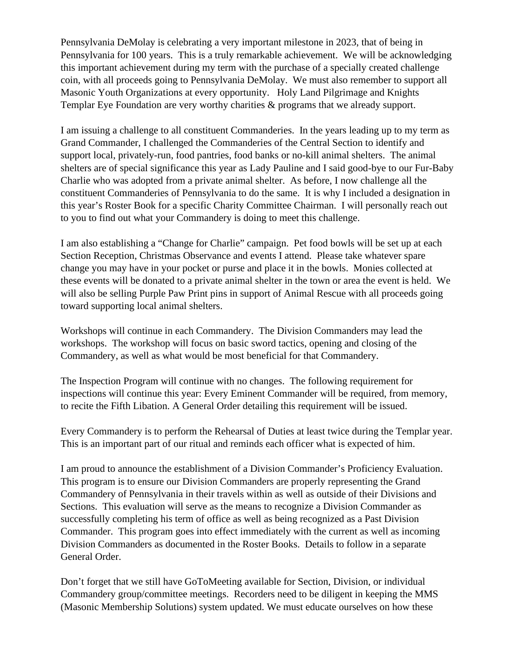Pennsylvania DeMolay is celebrating a very important milestone in 2023, that of being in Pennsylvania for 100 years. This is a truly remarkable achievement. We will be acknowledging this important achievement during my term with the purchase of a specially created challenge coin, with all proceeds going to Pennsylvania DeMolay. We must also remember to support all Masonic Youth Organizations at every opportunity. Holy Land Pilgrimage and Knights Templar Eye Foundation are very worthy charities & programs that we already support.

I am issuing a challenge to all constituent Commanderies. In the years leading up to my term as Grand Commander, I challenged the Commanderies of the Central Section to identify and support local, privately-run, food pantries, food banks or no-kill animal shelters. The animal shelters are of special significance this year as Lady Pauline and I said good-bye to our Fur-Baby Charlie who was adopted from a private animal shelter. As before, I now challenge all the constituent Commanderies of Pennsylvania to do the same. It is why I included a designation in this year's Roster Book for a specific Charity Committee Chairman. I will personally reach out to you to find out what your Commandery is doing to meet this challenge.

I am also establishing a "Change for Charlie" campaign. Pet food bowls will be set up at each Section Reception, Christmas Observance and events I attend. Please take whatever spare change you may have in your pocket or purse and place it in the bowls. Monies collected at these events will be donated to a private animal shelter in the town or area the event is held. We will also be selling Purple Paw Print pins in support of Animal Rescue with all proceeds going toward supporting local animal shelters.

Workshops will continue in each Commandery. The Division Commanders may lead the workshops. The workshop will focus on basic sword tactics, opening and closing of the Commandery, as well as what would be most beneficial for that Commandery.

The Inspection Program will continue with no changes. The following requirement for inspections will continue this year: Every Eminent Commander will be required, from memory, to recite the Fifth Libation. A General Order detailing this requirement will be issued.

Every Commandery is to perform the Rehearsal of Duties at least twice during the Templar year. This is an important part of our ritual and reminds each officer what is expected of him.

I am proud to announce the establishment of a Division Commander's Proficiency Evaluation. This program is to ensure our Division Commanders are properly representing the Grand Commandery of Pennsylvania in their travels within as well as outside of their Divisions and Sections. This evaluation will serve as the means to recognize a Division Commander as successfully completing his term of office as well as being recognized as a Past Division Commander. This program goes into effect immediately with the current as well as incoming Division Commanders as documented in the Roster Books. Details to follow in a separate General Order.

Don't forget that we still have GoToMeeting available for Section, Division, or individual Commandery group/committee meetings. Recorders need to be diligent in keeping the MMS (Masonic Membership Solutions) system updated. We must educate ourselves on how these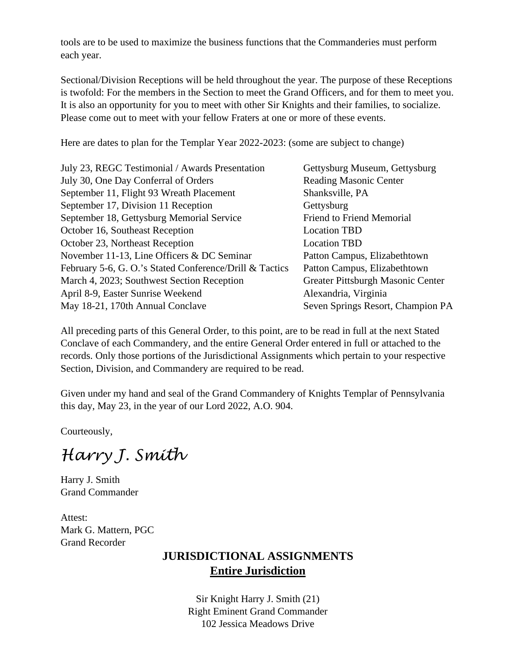tools are to be used to maximize the business functions that the Commanderies must perform each year.

Sectional/Division Receptions will be held throughout the year. The purpose of these Receptions is twofold: For the members in the Section to meet the Grand Officers, and for them to meet you. It is also an opportunity for you to meet with other Sir Knights and their families, to socialize. Please come out to meet with your fellow Fraters at one or more of these events.

Here are dates to plan for the Templar Year 2022-2023: (some are subject to change)

| Gettysburg Museum, Gettysburg     |
|-----------------------------------|
| <b>Reading Masonic Center</b>     |
| Shanksville, PA                   |
| Gettysburg                        |
| <b>Friend to Friend Memorial</b>  |
| <b>Location TBD</b>               |
| <b>Location TBD</b>               |
| Patton Campus, Elizabethtown      |
| Patton Campus, Elizabethtown      |
| Greater Pittsburgh Masonic Center |
| Alexandria, Virginia              |
| Seven Springs Resort, Champion PA |
|                                   |

All preceding parts of this General Order, to this point, are to be read in full at the next Stated Conclave of each Commandery, and the entire General Order entered in full or attached to the records. Only those portions of the Jurisdictional Assignments which pertain to your respective Section, Division, and Commandery are required to be read.

Given under my hand and seal of the Grand Commandery of Knights Templar of Pennsylvania this day, May 23, in the year of our Lord 2022, A.O. 904.

Courteously,

*Harry J. Smith*

Harry J. Smith Grand Commander

Attest: Mark G. Mattern, PGC Grand Recorder

# **JURISDICTIONAL ASSIGNMENTS Entire Jurisdiction**

Sir Knight Harry J. Smith (21) Right Eminent Grand Commander 102 Jessica Meadows Drive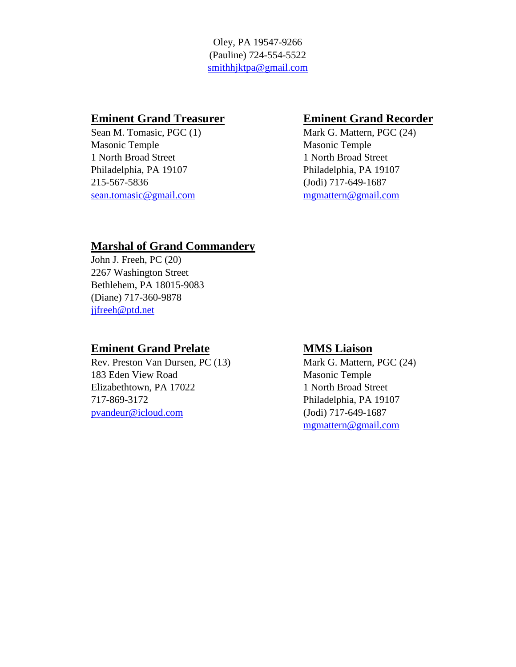Oley, PA 19547-9266 (Pauline) 724-554-5522 [smithhjktpa@gmail.com](mailto:smithhjktpa@gmail.com)

Sean M. Tomasic, PGC (1) Mark G. Mattern, PGC (24) Masonic Temple Masonic Temple 1 North Broad Street 1 North Broad Street Philadelphia, PA 19107 Philadelphia, PA 19107 215-567-5836 (Jodi) 717-649-1687 [sean.tomasic@gmail.com](mailto:sean.tomasic@gmail.com) [mgmattern@gmail.com](mailto:mgmattern@gmail.com)

### **Eminent Grand Treasurer <b>Eminent Grand Recorder**

## **Marshal of Grand Commandery**

John J. Freeh, PC (20) 2267 Washington Street Bethlehem, PA 18015-9083 (Diane) 717-360-9878 [jjfreeh@ptd.net](mailto:jjfreeh@ptd.net)

### **Eminent Grand Prelate MMS Liaison**

Rev. Preston Van Dursen, PC (13) Mark G. Mattern, PGC (24) 183 Eden View Road Masonic Temple Elizabethtown, PA 17022 1 North Broad Street 717-869-3172 Philadelphia, PA 19107 [pvandeur@icloud.com](mailto:pvandeur@icloud.com) (Jodi) 717-649-1687

[mgmattern@gmail.com](mailto:mgmattern@gmail.com)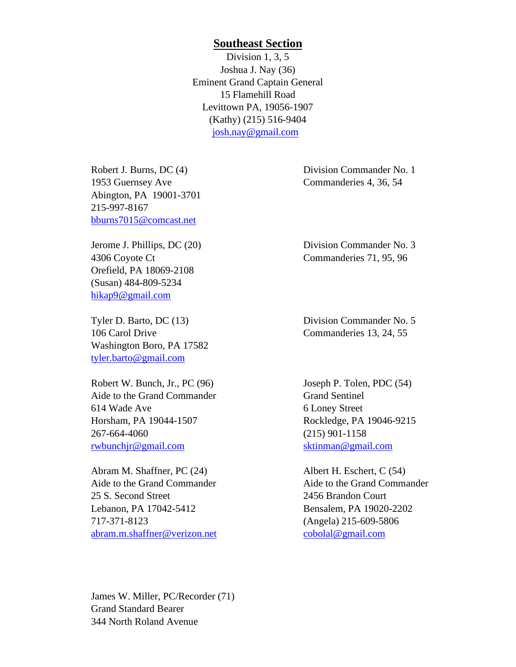### **Southeast Section**

Division 1, 3, 5 Joshua J. Nay (36) Eminent Grand Captain General 15 Flamehill Road Levittown PA, 19056-1907 (Kathy) (215) 516-9404 [josh.nay@gmail.com](mailto:josh.nay@gmail.com)

1953 Guernsey Ave Commanderies 4, 36, 54 Abington, PA 19001-3701 215-997-8167 [bburns7015@comcast.net](mailto:bburns7015@comcast.net)

4306 Coyote Ct Commanderies 71, 95, 96 Orefield, PA 18069-2108 (Susan) 484-809-5234 [hikap9@gmail.com](mailto:hikap9@gmail.com)

Tyler D. Barto, DC (13) Division Commander No. 5 106 Carol Drive Commanderies 13, 24, 55 Washington Boro, PA 17582 [tyler.barto@gmail.com](mailto:bjwags@comcast.net)

Robert W. Bunch, Jr., PC (96) Joseph P. Tolen, PDC (54) Aide to the Grand Commander Grand Sentinel 614 Wade Ave 614 Wade Ave 614 Wade Ave 614 Wade Ave 614 Wade Ave 614 Wade Ave 614 Wade Ave 614 Wade Ave 614 Wade Ave 614 Wade Ave 614 Wade Ave 614 Wade Ave 614 Wade Ave 614 Wade Ave 614 Wade Ave 614 Wade Ave 614 Wade Ave 6 Horsham, PA 19044-1507 Rockledge, PA 19046-9215 267-664-4060 (215) 901-1158 [rwbunchjr@gmail.com](mailto:rwbunchjr@gmail.com) [sktinman@gmail.com](mailto:sktinman@gmail.com)

Abram M. Shaffner, PC (24) Albert H. Eschert, C (54) Aide to the Grand Commander **Aide to the Grand Commander** 25 S. Second Street 2456 Brandon Court Lebanon, PA 17042-5412 Bensalem, PA 19020-2202 717-371-8123 (Angela) 215-609-5806 [abram.m.shaffner@verizon.net](mailto:abram.m.shaffner@verizon.net) [cobolal@gmail.com](mailto:cobolal@gmail.com)

James W. Miller, PC/Recorder (71) Grand Standard Bearer 344 North Roland Avenue

Robert J. Burns, DC (4) Division Commander No. 1

Jerome J. Phillips, DC (20) Division Commander No. 3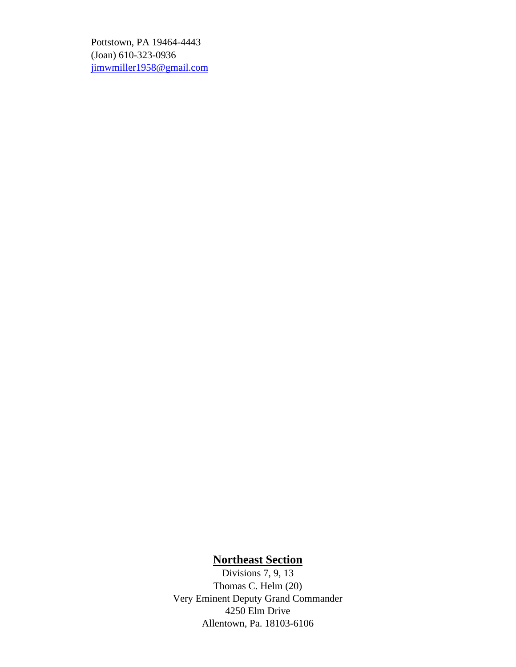Pottstown, PA 19464-4443 (Joan) 610-323-0936 [jimwmiller1958@gmail.com](mailto:jimwmiller1958@gmail.com)

### **Northeast Section**

Divisions 7, 9, 13 Thomas C. Helm (20) Very Eminent Deputy Grand Commander 4250 Elm Drive Allentown, Pa. 18103-6106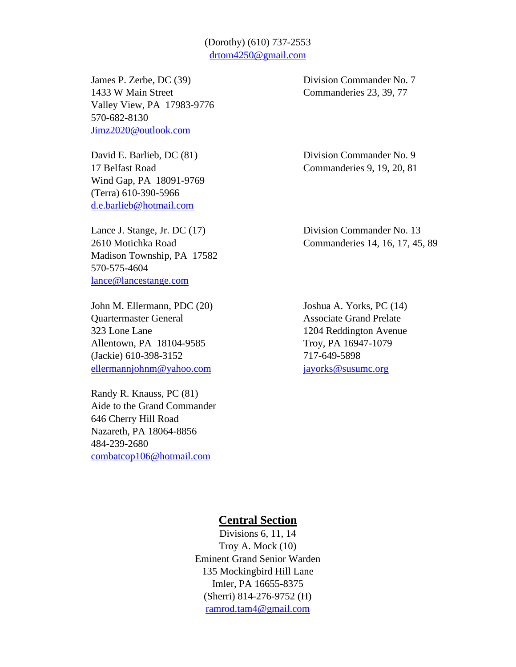### (Dorothy) (610) 737-2553 [drtom4250@gmail.com](mailto:drtom4250@gmail.com)

James P. Zerbe, DC (39) Division Commander No. 7 1433 W Main Street Commanderies 23, 39, 77 Valley View, PA 17983-9776 570-682-8130 [Jimz2020@outlook.com](mailto:Jimz2020@outlook.com)

Wind Gap, PA 18091-9769 (Terra) 610-390-5966 [d.e.barlieb@hotmail.com](mailto:d.e.barlieb@hotmail.com)

Lance J. Stange, Jr. DC (17) Division Commander No. 13 Madison Township, PA 17582 570-575-4604 [lance@lancestange.com](mailto:lance@lancestange.com)

John M. Ellermann, PDC (20) Joshua A. Yorks, PC (14) **Ouartermaster General Associate Grand Prelate** 323 Lone Lane 1204 Reddington Avenue Allentown, PA 18104-9585 Troy, PA 16947-1079 (Jackie) 610-398-3152 717-649-5898 [ellermannjohnm@yahoo.com](mailto:ellermannjohnm@yahoo.com) [jayorks@susumc.org](mailto:jayorks@susumc.org)

Randy R. Knauss, PC (81) Aide to the Grand Commander 646 Cherry Hill Road Nazareth, PA 18064-8856 484-239-2680 [combatcop106@hotmail.com](mailto:combatcop106@hotmail.com)

David E. Barlieb, DC (81) Division Commander No. 9 17 Belfast Road Commanderies 9, 19, 20, 81

2610 Motichka Road Commanderies 14, 16, 17, 45, 89

### **Central Section**

Divisions 6, 11, 14 Troy A. Mock (10) Eminent Grand Senior Warden 135 Mockingbird Hill Lane Imler, PA 16655-8375 (Sherri) 814-276-9752 (H) [ramrod.tam4@gmail.com](mailto:ramrod.tam4@gmail.com)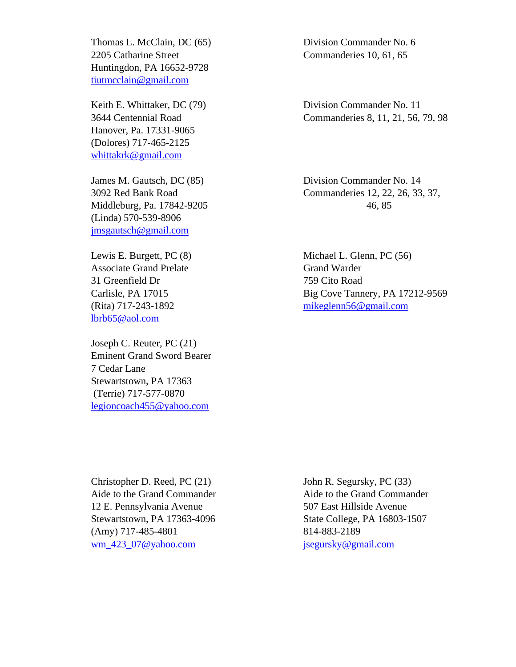Thomas L. McClain, DC (65) Division Commander No. 6 2205 Catharine Street Commanderies 10, 61, 65 Huntingdon, PA 16652-9728 [tiutmcclain@gmail.com](mailto:tiutmcclain@gmail.com)

Hanover, Pa. 17331-9065 (Dolores) 717-465-2125 [whittakrk@gmail.com](mailto:whittakrk@gmail.com)

James M. Gautsch, DC (85) Division Commander No. 14 Middleburg, Pa. 17842-9205 46, 85 (Linda) 570-539-8906 [jmsgautsch@gmail.com](mailto:jmsgautsch@gmail.com)

Associate Grand Prelate Grand Warder 31 Greenfield Dr 759 Cito Road [lbrb65@aol.com](mailto:lbrb65@aol.com)

Joseph C. Reuter, PC (21) Eminent Grand Sword Bearer 7 Cedar Lane Stewartstown, PA 17363 (Terrie) 717-577-0870 [legioncoach455@yahoo.com](mailto:legioncoach455@yahoo.com)

Keith E. Whittaker, DC (79) Division Commander No. 11 3644 Centennial Road Commanderies 8, 11, 21, 56, 79, 98

3092 Red Bank Road Commanderies 12, 22, 26, 33, 37,

Lewis E. Burgett, PC (8) Michael L. Glenn, PC (56) Carlisle, PA 17015 Big Cove Tannery, PA 17212-9569 (Rita) 717-243-1892 [mikeglenn56@gmail.com](mailto:mikeglenn56@gmail.com)

Christopher D. Reed, PC (21) John R. Segursky, PC (33) 12 E. Pennsylvania Avenue 507 East Hillside Avenue Stewartstown, PA 17363-4096 State College, PA 16803-1507 (Amy) 717-485-4801 814-883-2189 [wm\\_423\\_07@yahoo.com](mailto:wm_423_07@yahoo.com) [jsegursky@gmail.com](mailto:jsegursky@gmail.com)

Aide to the Grand Commander Aide to the Grand Commander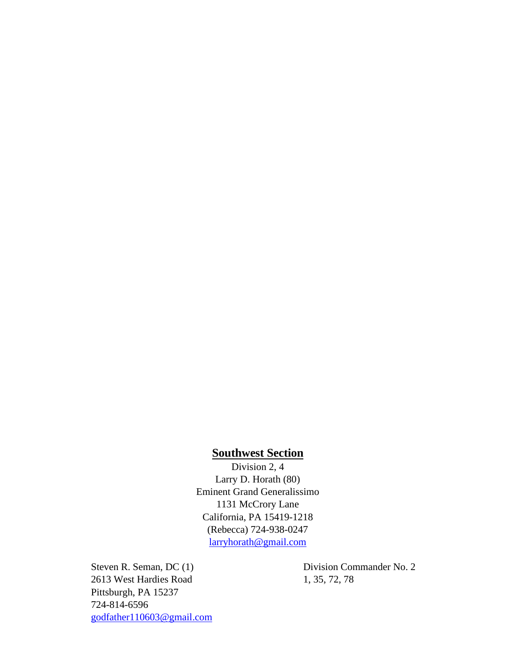### **Southwest Section**

Division 2, 4 Larry D. Horath (80) Eminent Grand Generalissimo 1131 McCrory Lane California, PA 15419-1218 (Rebecca) 724-938-0247 [larryhorath@gmail.com](mailto:larryhorath@gmail.com)

2613 West Hardies Road 1, 35, 72, 78 Pittsburgh, PA 15237 724-814-6596 [godfather110603@gmail.com](mailto:godfather110603@gmail.com)

Steven R. Seman, DC (1) Division Commander No. 2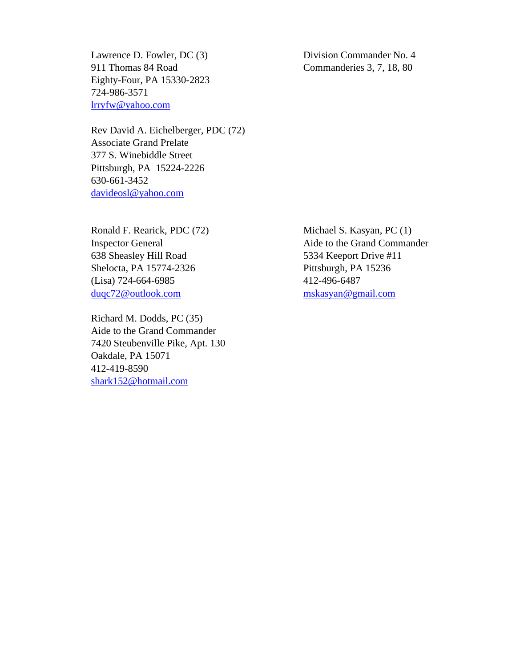Lawrence D. Fowler, DC (3) Division Commander No. 4 911 Thomas 84 Road Commanderies 3, 7, 18, 80 Eighty-Four, PA 15330-2823 724-986-3571 [lrryfw@yahoo.com](mailto:lrryfw@yahoo.com)

Rev David A. Eichelberger, PDC (72) Associate Grand Prelate 377 S. Winebiddle Street Pittsburgh, PA 15224-2226 630-661-3452 [davideosl@yahoo.com](mailto:davideosl@yahoo.com)

Ronald F. Rearick, PDC (72) Michael S. Kasyan, PC (1) 638 Sheasley Hill Road 5334 Keeport Drive #11 Shelocta, PA 15774-2326 Pittsburgh, PA 15236 (Lisa) 724-664-6985 412-496-6487 [duqc72@outlook.com](mailto:duqc72@outlook.com) [mskasyan@gmail.com](mailto:mskasyan@gmail.com)

Richard M. Dodds, PC (35) Aide to the Grand Commander 7420 Steubenville Pike, Apt. 130 Oakdale, PA 15071 412-419-8590 [shark152@hotmail.com](mailto:shark152@hotmail.com)

Inspector General Aide to the Grand Commander